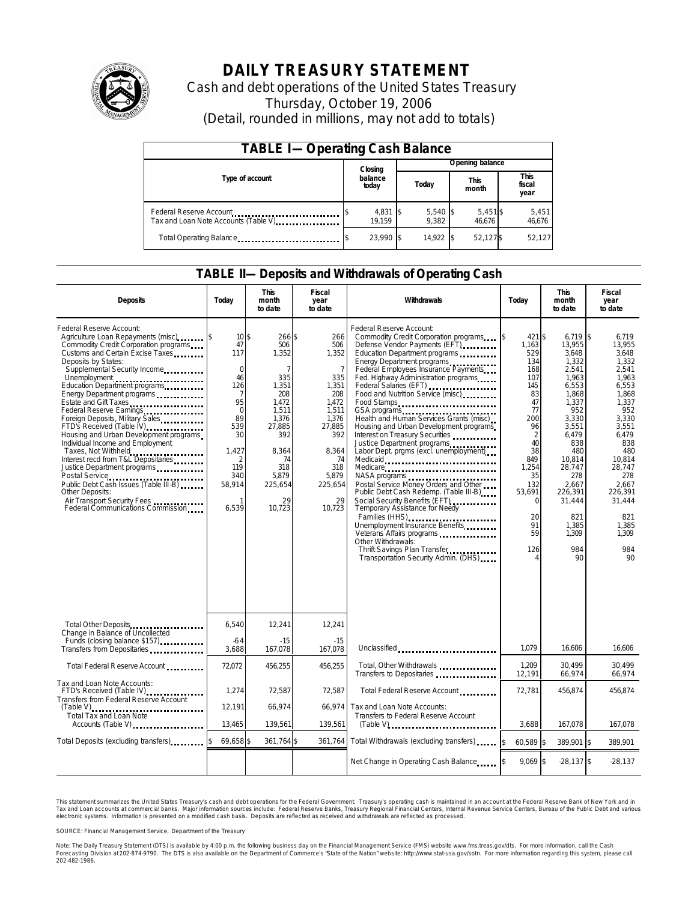

# **DAILY TREASURY STATEMENT**

Cash and debt operations of the United States Treasury Thursday, October 19, 2006 (Detail, rounded in millions, may not add to totals)

| <b>TABLE I-Operating Cash Balance</b> |                  |                    |       |                   |                      |                   |  |                        |
|---------------------------------------|------------------|--------------------|-------|-------------------|----------------------|-------------------|--|------------------------|
|                                       |                  | Closing            |       | Opening balance   |                      |                   |  |                        |
| Type of account                       | balance<br>today |                    | Today |                   | <b>This</b><br>month |                   |  | This<br>fiscal<br>year |
| Tax and Loan Note Accounts (Table V). |                  | 4,831 \$<br>19.159 |       | 5,540 \$<br>9.382 |                      | 5,451\$<br>46.676 |  | 5,451<br>46,676        |
| Total Operating Balance               |                  | 23.990 \$          |       | 14.922            |                      | 52.127\$          |  | 52,127                 |

### **TABLE II—Deposits and Withdrawals of Operating Cash**

| <b>Deposits</b>                                                                                                                                                                                                                                                                                                                                                                                                                                                                                                                                                                                                                                                   | Today                                                                                                                                              | <b>This</b><br>month<br>to date                                                                                                                                       | Fiscal<br>year<br>to date                                                                                                                                          | Withdrawals                                                                                                                                                                                                                                                                                                                                                                                                                                                                                                                                                                                                                                                                                                                                                                                                                                                                                                     | Today                                                                                                                                                                                           | <b>This</b><br>month<br>to date                                                                                                                                                                                               | Fiscal<br>year<br>to date                                                                                                                                                                                                           |
|-------------------------------------------------------------------------------------------------------------------------------------------------------------------------------------------------------------------------------------------------------------------------------------------------------------------------------------------------------------------------------------------------------------------------------------------------------------------------------------------------------------------------------------------------------------------------------------------------------------------------------------------------------------------|----------------------------------------------------------------------------------------------------------------------------------------------------|-----------------------------------------------------------------------------------------------------------------------------------------------------------------------|--------------------------------------------------------------------------------------------------------------------------------------------------------------------|-----------------------------------------------------------------------------------------------------------------------------------------------------------------------------------------------------------------------------------------------------------------------------------------------------------------------------------------------------------------------------------------------------------------------------------------------------------------------------------------------------------------------------------------------------------------------------------------------------------------------------------------------------------------------------------------------------------------------------------------------------------------------------------------------------------------------------------------------------------------------------------------------------------------|-------------------------------------------------------------------------------------------------------------------------------------------------------------------------------------------------|-------------------------------------------------------------------------------------------------------------------------------------------------------------------------------------------------------------------------------|-------------------------------------------------------------------------------------------------------------------------------------------------------------------------------------------------------------------------------------|
| Federal Reserve Account:<br>Agriculture Loan Repayments (misc)<br>Commodity Credit Corporation programs<br>Customs and Certain Excise Taxes<br>Deposits by States:<br>Supplemental Security Income<br>Energy Department programs<br>Estate and Gift Taxes<br>Federal Reserve Earnings<br>Foreign Deposits, Military Sales<br>FTD's Received (Table IV)<br>Housing and Urban Development programs<br>Individual Income and Employment<br>Taxes, Not Withheld<br>Interest recd from T&L Depositaries<br>Justice Department programs<br>Public Debt Cash Issues (Table III-B)<br>Other Deposits:<br>Air Transport Security Fees<br>Federal Communications Commission | $10\$<br>47<br>117<br>$\mathbf 0$<br>46<br>126<br>$\overline{7}$<br>95<br>$\mathbf 0$<br>89<br>539<br>30<br>1.427<br>119<br>340<br>58,914<br>6,539 | 266 \$<br>506<br>1,352<br>$\overline{7}$<br>335<br>1,351<br>208<br>1.472<br>1,511<br>1,376<br>27,885<br>392<br>8.364<br>74<br>318<br>5.879<br>225,654<br>29<br>10,723 | 266<br>506<br>1,352<br>$\overline{7}$<br>335<br>1,351<br>208<br>1.472<br>1,511<br>1,376<br>27,885<br>392<br>8.364<br>74<br>318<br>5,879<br>225,654<br>29<br>10,723 | Federal Reserve Account:<br>Commodity Credit Corporation programs<br>Defense Vendor Payments (EFT)<br>Education Department programs<br>Energy Department programs<br>Federal Employees Insurance Payments<br>Fed. Highway Administration programs<br>Federal Salaries (EFT)<br>Food and Nutrition Service (misc)<br>Food Stamps<br>GSA programs<br>Health and Human Services Grants (misc)<br>Housing and Urban Development programs<br>Interest on Treasury Securities<br>Justice Department programs<br>Labor Dept. prgms (excl. unemployment)<br>Medicaid<br>Medicare<br>Postal Service Money Orders and Other<br>Public Debt Cash Redemp. (Table III-B)<br>Social Security Benefits (EFT)<br>Temporary Assistance for Needy<br>Families (HHS)<br>Unemployment Insurance Benefits<br>Veterans Affairs programs<br>Other Withdrawals:<br>Thrift Savings Plan Transfer<br>Transportation Security Admin. (DHS) | 421 \$<br><sup>\$</sup><br>1,163<br>529<br>134<br>168<br>107<br>145<br>83<br>47<br>77<br>200<br>96<br>2<br>40<br>38<br>849<br>1,254<br>35<br>132<br>53,691<br>$\Omega$<br>20<br>91<br>59<br>126 | 6.719<br>13,955<br>3.648<br>1.332<br>2,541<br>1,963<br>6,553<br>1,868<br>1,337<br>952<br>3,330<br>3,551<br>6.479<br>838<br>480<br>10.814<br>28,747<br>278<br>2,667<br>226,391<br>31,444<br>821<br>1,385<br>1.309<br>984<br>90 | \$<br>6.719<br>13,955<br>3.648<br>1.332<br>2,541<br>1,963<br>6,553<br>1,868<br>1.337<br>952<br>3.330<br>3,551<br>6.479<br>838<br>480<br>10.814<br>28,747<br>278<br>2.667<br>226,391<br>31,444<br>821<br>1,385<br>1.309<br>984<br>90 |
| Change in Balance of Uncollected<br>Funds (closing balance \$157)<br>Funds                                                                                                                                                                                                                                                                                                                                                                                                                                                                                                                                                                                        | 6,540<br>-64<br>3,688                                                                                                                              | 12,241<br>$-15$<br>167,078                                                                                                                                            | 12,241<br>$-15$<br>167,078                                                                                                                                         | Unclassified                                                                                                                                                                                                                                                                                                                                                                                                                                                                                                                                                                                                                                                                                                                                                                                                                                                                                                    | 1.079                                                                                                                                                                                           | 16.606                                                                                                                                                                                                                        | 16.606                                                                                                                                                                                                                              |
| Total Federal Reserve Account                                                                                                                                                                                                                                                                                                                                                                                                                                                                                                                                                                                                                                     | 72,072                                                                                                                                             | 456,255                                                                                                                                                               | 456,255                                                                                                                                                            | Total, Other Withdrawals                                                                                                                                                                                                                                                                                                                                                                                                                                                                                                                                                                                                                                                                                                                                                                                                                                                                                        | 1,209                                                                                                                                                                                           | 30,499                                                                                                                                                                                                                        | 30.499                                                                                                                                                                                                                              |
| Tax and Loan Note Accounts:<br>FTD's Received (Table IV)<br>Transfers from Federal Reserve Account<br>$(Table V)$<br>.                                                                                                                                                                                                                                                                                                                                                                                                                                                                                                                                            | 1,274<br>12,191                                                                                                                                    | 72,587<br>66,974                                                                                                                                                      | 72.587<br>66,974                                                                                                                                                   | Transfers to Depositaries<br>Total Federal Reserve Account<br>Tax and Loan Note Accounts:                                                                                                                                                                                                                                                                                                                                                                                                                                                                                                                                                                                                                                                                                                                                                                                                                       | 12,191<br>72.781                                                                                                                                                                                | 66,974<br>456,874                                                                                                                                                                                                             | 66,974<br>456.874                                                                                                                                                                                                                   |
| Total Tax and Loan Note<br>Accounts (Table V)                                                                                                                                                                                                                                                                                                                                                                                                                                                                                                                                                                                                                     | 13,465                                                                                                                                             | 139,561                                                                                                                                                               | 139,561                                                                                                                                                            | Transfers to Federal Reserve Account<br>$(Table V)$                                                                                                                                                                                                                                                                                                                                                                                                                                                                                                                                                                                                                                                                                                                                                                                                                                                             | 3,688                                                                                                                                                                                           | 167,078                                                                                                                                                                                                                       | 167,078                                                                                                                                                                                                                             |
| Total Deposits (excluding transfers)                                                                                                                                                                                                                                                                                                                                                                                                                                                                                                                                                                                                                              | 69,658 \$                                                                                                                                          | 361,764 \$                                                                                                                                                            | 361,764                                                                                                                                                            | Total Withdrawals (excluding transfers)                                                                                                                                                                                                                                                                                                                                                                                                                                                                                                                                                                                                                                                                                                                                                                                                                                                                         | 60,589 \$<br><sup>\$</sup>                                                                                                                                                                      | 389,901 \$                                                                                                                                                                                                                    | 389,901                                                                                                                                                                                                                             |
|                                                                                                                                                                                                                                                                                                                                                                                                                                                                                                                                                                                                                                                                   |                                                                                                                                                    |                                                                                                                                                                       |                                                                                                                                                                    | Net Change in Operating Cash Balance                                                                                                                                                                                                                                                                                                                                                                                                                                                                                                                                                                                                                                                                                                                                                                                                                                                                            | $9,069$ \$                                                                                                                                                                                      | $-28,137$ \$                                                                                                                                                                                                                  | $-28,137$                                                                                                                                                                                                                           |

This statement summarizes the United States Treasury's cash and debt operations for the Federal Government. Treasury's operating cash is maintained in an account at the Federal Reserve Bank of New York and in Tax and Loan accounts at commercial banks. Major information sources include: Federal Reserve Banks, Treasury Regional Financial Centers, Internal Revenue Service Centers, Bureau of the Public Debt and various<br>electronic s

SOURCE: Financial Management Service, Department of the Treasury

Note: The Daily Treasury Statement (DTS) is available by 4:00 p.m. the following business day on the Financial Management Service (FMS) website www.fms.treas.gov/dts.<br>Forecasting Division at 202-874-9790. The DTS is also a 'S) is available by 4:00 p.m. the following business day on the Financial Management Service (FMS) website www.fms.treas.gov/dts. For more information, call the Cash<br>The DTS is also available on the Department of Commerce'